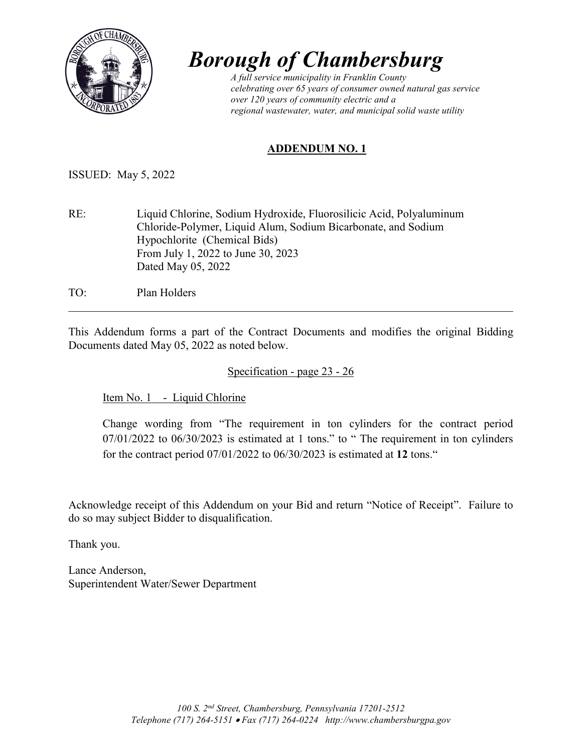

## *Borough of Chambersburg A full service municipality in Franklin County*

*celebrating over 65 years of consumer owned natural gas service over 120 years of community electric and a regional wastewater, water, and municipal solid waste utility*

## **ADDENDUM NO. 1**

ISSUED: May 5, 2022

RE: Liquid Chlorine, Sodium Hydroxide, Fluorosilicic Acid, Polyaluminum Chloride-Polymer, Liquid Alum, Sodium Bicarbonate, and Sodium Hypochlorite (Chemical Bids) From July 1, 2022 to June 30, 2023 Dated May 05, 2022

TO: Plan Holders

This Addendum forms a part of the Contract Documents and modifies the original Bidding Documents dated May 05, 2022 as noted below.

\_\_\_\_\_\_\_\_\_\_\_\_\_\_\_\_\_\_\_\_\_\_\_\_\_\_\_\_\_\_\_\_\_\_\_\_\_\_\_\_\_\_\_\_\_\_\_\_\_\_\_\_\_\_\_\_\_\_\_\_\_\_\_\_\_\_\_\_\_\_\_\_\_\_\_\_\_\_

Specification - page 23 - 26

Item No. 1 - Liquid Chlorine

Change wording from "The requirement in ton cylinders for the contract period  $07/01/2022$  to  $06/30/2023$  is estimated at 1 tons." to "The requirement in ton cylinders for the contract period 07/01/2022 to 06/30/2023 is estimated at **12** tons."

Acknowledge receipt of this Addendum on your Bid and return "Notice of Receipt". Failure to do so may subject Bidder to disqualification.

Thank you.

Lance Anderson, Superintendent Water/Sewer Department